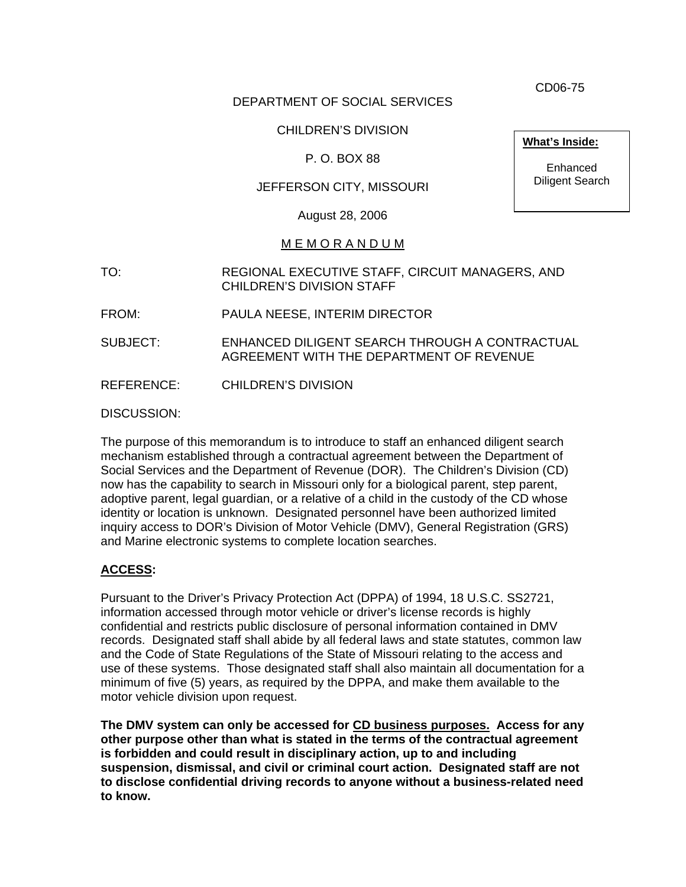CD06-75

## DEPARTMENT OF SOCIAL SERVICES

## CHILDREN'S DIVISION

#### P. O. BOX 88

#### JEFFERSON CITY, MISSOURI

August 28, 2006

#### M E M O R A N D U M

- TO: REGIONAL EXECUTIVE STAFF, CIRCUIT MANAGERS, AND CHILDREN'S DIVISION STAFF
- FROM: PAULA NEESE, INTERIM DIRECTOR
- SUBJECT: ENHANCED DILIGENT SEARCH THROUGH A CONTRACTUAL AGREEMENT WITH THE DEPARTMENT OF REVENUE

REFERENCE: CHILDREN'S DIVISION

DISCUSSION:

The purpose of this memorandum is to introduce to staff an enhanced diligent search mechanism established through a contractual agreement between the Department of Social Services and the Department of Revenue (DOR). The Children's Division (CD) now has the capability to search in Missouri only for a biological parent, step parent, adoptive parent, legal guardian, or a relative of a child in the custody of the CD whose identity or location is unknown. Designated personnel have been authorized limited inquiry access to DOR's Division of Motor Vehicle (DMV), General Registration (GRS) and Marine electronic systems to complete location searches.

#### **ACCESS:**

Pursuant to the Driver's Privacy Protection Act (DPPA) of 1994, 18 U.S.C. SS2721, information accessed through motor vehicle or driver's license records is highly confidential and restricts public disclosure of personal information contained in DMV records. Designated staff shall abide by all federal laws and state statutes, common law and the Code of State Regulations of the State of Missouri relating to the access and use of these systems. Those designated staff shall also maintain all documentation for a minimum of five (5) years, as required by the DPPA, and make them available to the motor vehicle division upon request.

**The DMV system can only be accessed for CD business purposes. Access for any other purpose other than what is stated in the terms of the contractual agreement is forbidden and could result in disciplinary action, up to and including suspension, dismissal, and civil or criminal court action. Designated staff are not to disclose confidential driving records to anyone without a business-related need to know.** 

**What's Inside:**

Enhanced Diligent Search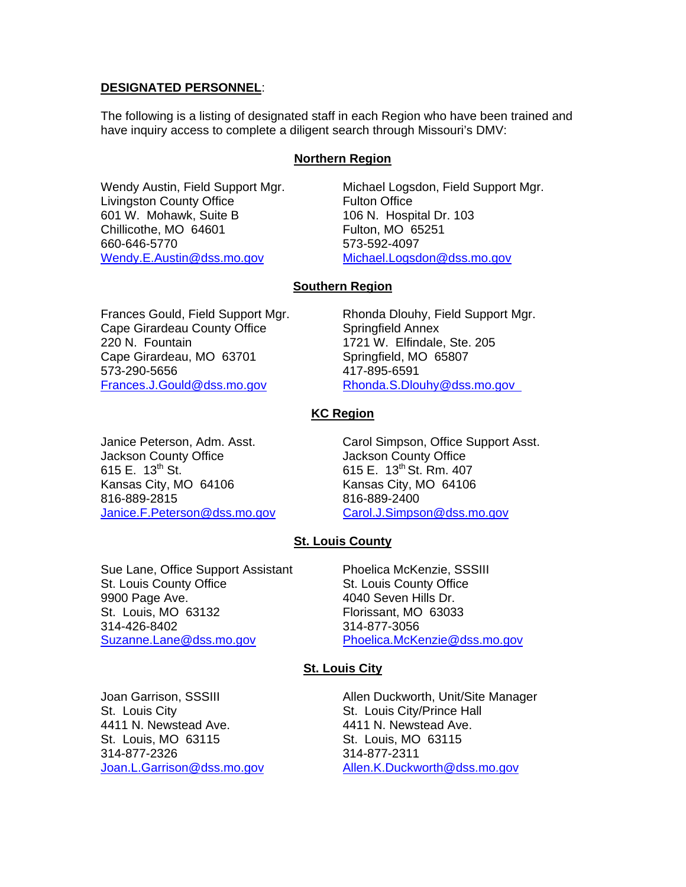#### **DESIGNATED PERSONNEL**:

The following is a listing of designated staff in each Region who have been trained and have inquiry access to complete a diligent search through Missouri's DMV:

#### **Northern Region**

Wendy Austin, Field Support Mgr. Michael Logsdon, Field Support Mgr. Livingston County Office **Fulton Office** 601 W. Mohawk, Suite B 106 N. Hospital Dr. 103 Chillicothe, MO 64601 Fulton, MO 65251 660-646-5770 573-592-4097 [Wendy.E.Austin@dss.mo.gov](mailto:Wendy.E.Austin@dss.mo.gov) [Michael.Logsdon@dss.mo.gov](mailto:Michael.Logsdon@dss.mo.gov)

#### **Southern Region**

Cape Girardeau County Office Springfield Annex 220 N. Fountain 1721 W. Elfindale, Ste. 205 Cape Girardeau, MO 63701 Springfield, MO 65807 573-290-5656 417-895-6591 [Frances.J.Gould@dss.mo.gov](mailto:Frances.J.Gould@dss.mo.gov) [Rhonda.S.Dlouhy@dss.mo.gov](mailto:Rhonda.S.Dlouhy@dss.mo.gov)

Frances Gould, Field Support Mgr. Rhonda Dlouhy, Field Support Mgr.

#### **KC Region**

Jackson County Office Jackson County Office 615 E. 13<sup>th</sup> St. 615 E. 13<sup>th</sup> St. Rm. 407 Kansas City, MO 64106 Kansas City, MO 64106 816-889-2815 816-889-2400 [Janice.F.Peterson@dss.mo.gov](mailto:Janice.F.Peterson@dss.mo.gov)

Janice Peterson, Adm. Asst. Carol Simpson, Office Support Asst.

## **St. Louis County**

Sue Lane, Office Support Assistant Phoelica McKenzie, SSSIII St. Louis County Office St. Louis County Office 9900 Page Ave. **4040 Seven Hills Dr.** St. Louis, MO 63132 Florissant, MO 63033 314-426-8402 314-877-3056 [Suzanne.Lane@dss.mo.gov](mailto:Suzanne.Lane@dss.mo.gov) [Phoelica.McKenzie@dss.mo.gov](mailto:Phoelica.McKenzie@dss.mo.gov)

#### **St. Louis City**

St. Louis City St. Louis City/Prince Hall 4411 N. Newstead Ave. 4411 N. Newstead Ave. St. Louis, MO 63115 St. Louis, MO 63115 314-877-2326 314-877-2311

Joan Garrison, SSSIII Allen Duckworth, Unit/Site Manager [Joan.L.Garrison@dss.mo.gov](mailto:Joan.L.Garrison@dss.mo.gov) [Allen.K.Duckworth@dss.mo.gov](mailto:Allen.K.Duckworth@dss.mo.gov)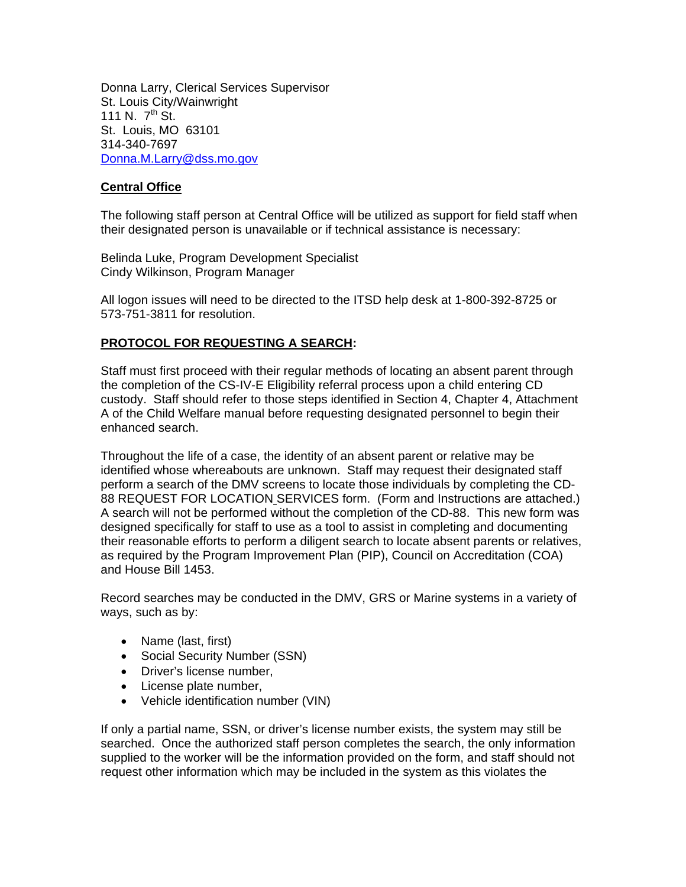Donna Larry, Clerical Services Supervisor St. Louis City/Wainwright 111 N.  $7^{th}$  St. St. Louis, MO 63101 314-340-7697 [Donna.M.Larry@dss.mo.gov](mailto:Donna.M.Larry@dss.mo.gov)

## **Central Office**

The following staff person at Central Office will be utilized as support for field staff when their designated person is unavailable or if technical assistance is necessary:

Belinda Luke, Program Development Specialist Cindy Wilkinson, Program Manager

All logon issues will need to be directed to the ITSD help desk at 1-800-392-8725 or 573-751-3811 for resolution.

#### **PROTOCOL FOR REQUESTING A SEARCH:**

Staff must first proceed with their regular methods of locating an absent parent through the completion of the CS-IV-E Eligibility referral process upon a child entering CD custody. Staff should refer to those steps identified in Section 4, Chapter 4, Attachment A of the Child Welfare manual before requesting designated personnel to begin their enhanced search.

Throughout the life of a case, the identity of an absent parent or relative may be identified whose whereabouts are unknown. Staff may request their designated staff perform a search of the DMV screens to locate those individuals by completing the CD-88 REQUEST FOR LOCATION SERVICES form. (Form and Instructions are attached.) A search will not be performed without the completion of the CD-88. This new form was designed specifically for staff to use as a tool to assist in completing and documenting their reasonable efforts to perform a diligent search to locate absent parents or relatives, as required by the Program Improvement Plan (PIP), Council on Accreditation (COA) and House Bill 1453.

Record searches may be conducted in the DMV, GRS or Marine systems in a variety of ways, such as by:

- Name (last, first)
- Social Security Number (SSN)
- Driver's license number,
- License plate number,
- Vehicle identification number (VIN)

If only a partial name, SSN, or driver's license number exists, the system may still be searched. Once the authorized staff person completes the search, the only information supplied to the worker will be the information provided on the form, and staff should not request other information which may be included in the system as this violates the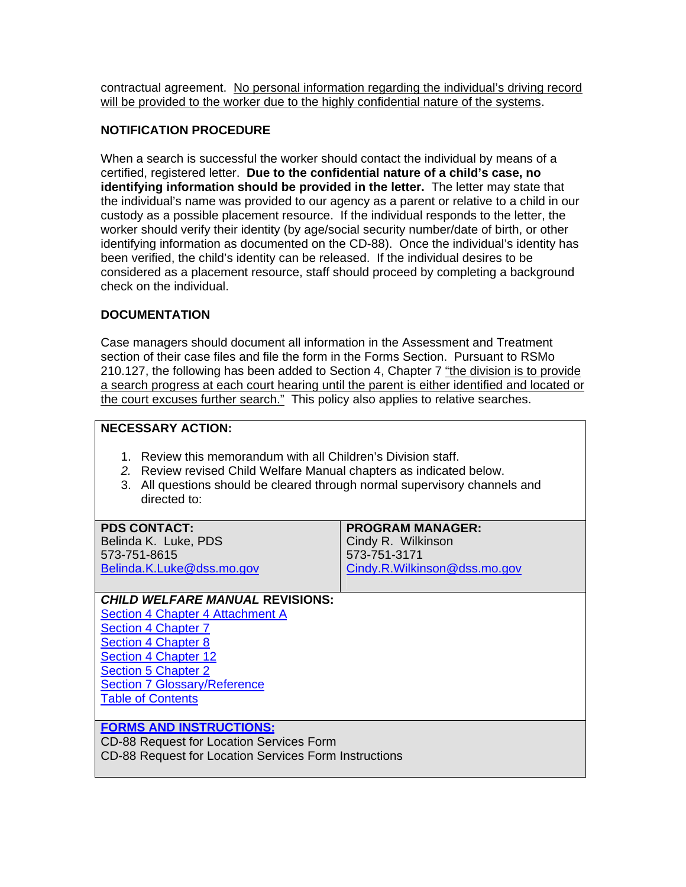contractual agreement. No personal information regarding the individual's driving record will be provided to the worker due to the highly confidential nature of the systems.

## **NOTIFICATION PROCEDURE**

When a search is successful the worker should contact the individual by means of a certified, registered letter. **Due to the confidential nature of a child's case, no identifying information should be provided in the letter.** The letter may state that the individual's name was provided to our agency as a parent or relative to a child in our custody as a possible placement resource. If the individual responds to the letter, the worker should verify their identity (by age/social security number/date of birth, or other identifying information as documented on the CD-88). Once the individual's identity has been verified, the child's identity can be released. If the individual desires to be considered as a placement resource, staff should proceed by completing a background check on the individual.

#### **DOCUMENTATION**

Case managers should document all information in the Assessment and Treatment section of their case files and file the form in the Forms Section. Pursuant to RSMo 210.127, the following has been added to Section 4, Chapter 7 "the division is to provide a search progress at each court hearing until the parent is either identified and located or the court excuses further search." This policy also applies to relative searches.

## **NECESSARY ACTION:**

- 1. Review this memorandum with all Children's Division staff.
- *2.* Review revised Child Welfare Manual chapters as indicated below.
- 3. All questions should be cleared through normal supervisory channels and directed to:

| <b>PDS CONTACT:</b>                                   | <b>PROGRAM MANAGER:</b>      |
|-------------------------------------------------------|------------------------------|
| Belinda K. Luke, PDS                                  | Cindy R. Wilkinson           |
| 573-751-8615                                          | 573-751-3171                 |
| Belinda.K.Luke@dss.mo.gov                             | Cindy.R.Wilkinson@dss.mo.gov |
|                                                       |                              |
| <b>CHILD WELFARE MANUAL REVISIONS:</b>                |                              |
| Section 4 Chapter 4 Attachment A                      |                              |
| <b>Section 4 Chapter 7</b>                            |                              |
| <b>Section 4 Chapter 8</b>                            |                              |
| Section 4 Chapter 12                                  |                              |
| <b>Section 5 Chapter 2</b>                            |                              |
| <b>Section 7 Glossary/Reference</b>                   |                              |
| <b>Table of Contents</b>                              |                              |
|                                                       |                              |
| <b>FORMS AND INSTRUCTIONS:</b>                        |                              |
| CD-88 Request for Location Services Form              |                              |
| CD-88 Request for Location Services Form Instructions |                              |
|                                                       |                              |